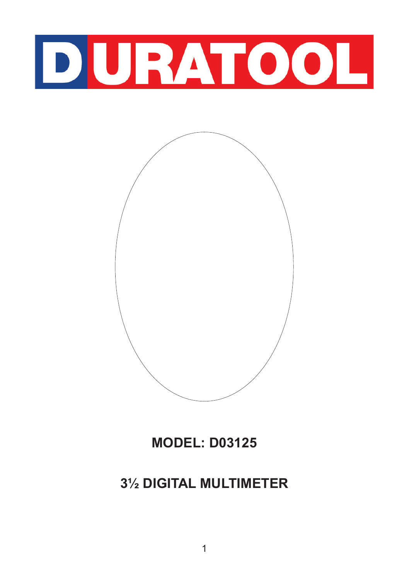



**MODEL: D03125**

# **3½ DIGITAL MULTIMETER**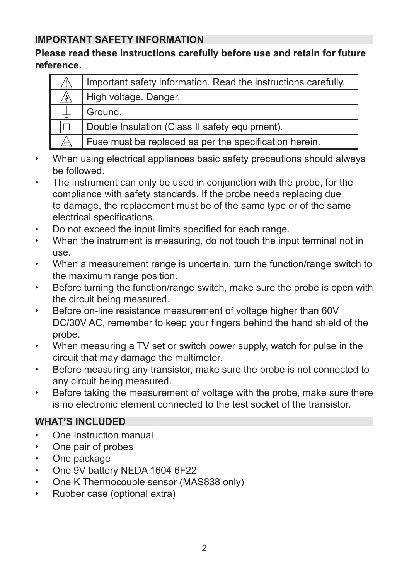#### **IMPORTANT SAFETY INFORMATION**

#### **Please read these instructions carefully before use and retain for future reference.**

| /!\ | Important safety information. Read the instructions carefully. |
|-----|----------------------------------------------------------------|
|     | High voltage. Danger.                                          |
|     | Ground.                                                        |
|     | Double Insulation (Class II safety equipment).                 |
|     | Fuse must be replaced as per the specification herein.         |

- When using electrical appliances basic safety precautions should always be followed.
- The instrument can only be used in conjunction with the probe, for the compliance with safety standards. If the probe needs replacing due to damage, the replacement must be of the same type or of the same electrical specifications.
- Do not exceed the input limits specified for each range.
- When the instrument is measuring, do not touch the input terminal not in use.
- When a measurement range is uncertain, turn the function/range switch to the maximum range position.
- Before turning the function/range switch, make sure the probe is open with the circuit being measured.
- Before on-line resistance measurement of voltage higher than 60V DC/30V AC, remember to keep your fingers behind the hand shield of the probe.
- When measuring a TV set or switch power supply, watch for pulse in the circuit that may damage the multimeter.
- Before measuring any transistor, make sure the probe is not connected to any circuit being measured.
- Before taking the measurement of voltage with the probe, make sure there is no electronic element connected to the test socket of the transistor.

## **WHAT'S INCLUDED**

- One Instruction manual
- One pair of probes
- One package
- One 9V battery NEDA 1604 6F22
- One K Thermocouple sensor (MAS838 only)
- Rubber case (optional extra)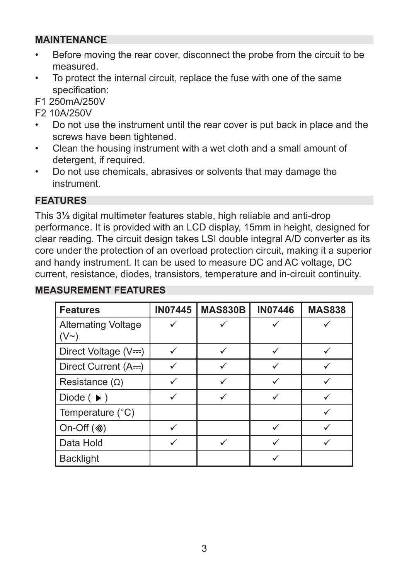#### **MAINTENANCE**

- Before moving the rear cover, disconnect the probe from the circuit to be measured.
- To protect the internal circuit, replace the fuse with one of the same specification:

F1 250mA/250V

F2 10A/250V

- Do not use the instrument until the rear cover is put back in place and the screws have been tightened.
- Clean the housing instrument with a wet cloth and a small amount of detergent, if required.
- Do not use chemicals, abrasives or solvents that may damage the instrument.

#### **FEATURES**

This 3**½** digital multimeter features stable, high reliable and anti-drop performance. It is provided with an LCD display, 15mm in height, designed for clear reading. The circuit design takes LSI double integral A/D converter as its core under the protection of an overload protection circuit, making it a superior and handy instrument. It can be used to measure DC and AC voltage, DC current, resistance, diodes, transistors, temperature and in-circuit continuity.

#### **MEASUREMENT FEATURES**

| <b>Features</b>                    | <b>IN07445</b> | <b>MAS830B</b> | <b>IN07446</b> | <b>MAS838</b> |
|------------------------------------|----------------|----------------|----------------|---------------|
| <b>Alternating Voltage</b><br>(V~) |                |                |                |               |
| Direct Voltage (V=)                |                |                |                |               |
| Direct Current (A==)               |                |                |                |               |
| Resistance $(\Omega)$              |                |                |                |               |
| Diode $(\rightarrow)$              |                |                |                |               |
| Temperature (°C)                   |                |                |                |               |
| On-Off (※)                         |                |                |                |               |
| Data Hold                          |                |                |                |               |
| <b>Backlight</b>                   |                |                |                |               |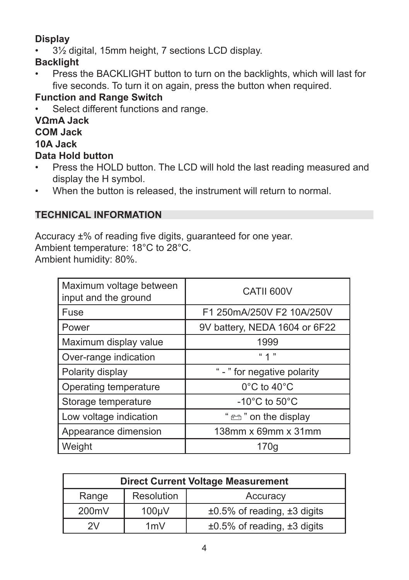# **Display**

• 3½ digital, 15mm height, 7 sections LCD display.

# **Backlight**

• Press the BACKLIGHT button to turn on the backlights, which will last for five seconds. To turn it on again, press the button when required.

# **Function and Range Switch**

Select different functions and range.

#### **VΩmA Jack COM Jack 10A Jack Data Hold button**

- Press the HOLD button. The LCD will hold the last reading measured and display the H symbol.
- When the button is released, the instrument will return to normal.

## **TECHNICAL INFORMATION**

Accuracy ±% of reading five digits, guaranteed for one year. Ambient temperature: 18°C to 28°C. Ambient humidity: 80%.

| Maximum voltage between<br>input and the ground | CATII 600V                         |
|-------------------------------------------------|------------------------------------|
| Fuse                                            | F1 250mA/250V F2 10A/250V          |
| Power                                           | 9V battery, NEDA 1604 or 6F22      |
| Maximum display value                           | 1999                               |
| Over-range indication                           | " 1 "                              |
| Polarity display                                | " - " for negative polarity        |
| Operating temperature                           | 0°C to 40°C                        |
| Storage temperature                             | $-10^{\circ}$ C to 50 $^{\circ}$ C |
| Low voltage indication                          | "en the display"                   |
| Appearance dimension                            | 138mm x 69mm x 31mm                |
| Weight                                          | 170g                               |

| <b>Direct Current Voltage Measurement</b> |            |                                        |  |
|-------------------------------------------|------------|----------------------------------------|--|
| Range                                     | Resolution | Accuracy                               |  |
| 200mV<br>$100 \mu V$                      |            | $\pm 0.5\%$ of reading, $\pm 3$ digits |  |
| 1mV<br>2V                                 |            | $\pm 0.5\%$ of reading, $\pm 3$ digits |  |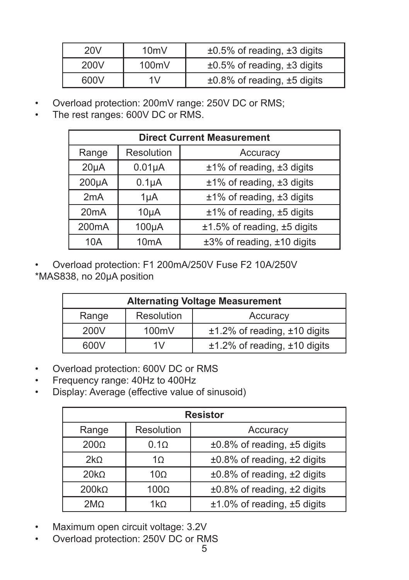| 20V  | 10 <sub>m</sub> | $\pm 0.5\%$ of reading, $\pm 3$ digits |
|------|-----------------|----------------------------------------|
| 200V | 100mV           | $\pm 0.5\%$ of reading, $\pm 3$ digits |
| 600V | 1V              | $\pm 0.8\%$ of reading, $\pm 5$ digits |

- Overload protection: 200mV range: 250V DC or RMS;
- The rest ranges: 600V DC or RMS.

| <b>Direct Current Measurement</b> |                   |                                  |  |
|-----------------------------------|-------------------|----------------------------------|--|
| Range                             | Resolution        | Accuracy                         |  |
| $20\mu A$                         | $0.01\mu A$       | $±1\%$ of reading, $±3$ digits   |  |
| $200\mu A$                        | $0.1\muA$         | ±1% of reading, ±3 digits        |  |
| 2mA                               | $1\mu A$          | $±1\%$ of reading, $±3$ digits   |  |
| 20 <sub>m</sub> A                 | $10\mu A$         | ±1% of reading, ±5 digits        |  |
| 200 <sub>m</sub> A                | $100\mu A$        | $±1.5\%$ of reading, $±5$ digits |  |
| 10A                               | 10 <sub>m</sub> A | ±3% of reading, ±10 digits       |  |

• Overload protection: F1 200mA/250V Fuse F2 10A/250V \*MAS838, no 20μA position

| <b>Alternating Voltage Measurement</b> |  |                                   |  |
|----------------------------------------|--|-----------------------------------|--|
| Resolution<br>Range                    |  | Accuracy                          |  |
| 200V<br>100mV                          |  | $±1.2\%$ of reading, $±10$ digits |  |
| 600V<br>1V                             |  | $±1.2\%$ of reading, $±10$ digits |  |

- Overload protection: 600V DC or RMS
- Frequency range: 40Hz to 400Hz
- Display: Average (effective value of sinusoid)

| <b>Resistor</b>             |                 |                                  |  |
|-----------------------------|-----------------|----------------------------------|--|
| Resolution<br>Range         |                 | Accuracy                         |  |
| 200 <sub>Ω</sub>            | $0.1\Omega$     | ±0.8% of reading, ±5 digits      |  |
| 2kO                         | 10 <sup>2</sup> | $±0.8\%$ of reading, $±2$ digits |  |
| 20k <sub>0</sub>            | $10\Omega$      | ±0.8% of reading, ±2 digits      |  |
| $200k\Omega$<br>$100\Omega$ |                 | ±0.8% of reading, ±2 digits      |  |
| 2MO<br>1kO                  |                 | $±1.0\%$ of reading, $±5$ digits |  |

- Maximum open circuit voltage: 3.2V
- Overload protection: 250V DC or RMS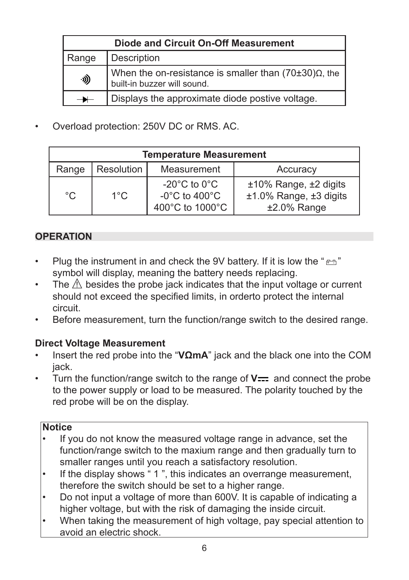| Diode and Circuit On-Off Measurement |                                                                                               |  |  |
|--------------------------------------|-----------------------------------------------------------------------------------------------|--|--|
| Range                                | Description                                                                                   |  |  |
| ·»)                                  | When the on-resistance is smaller than $(70\pm30)\Omega$ , the<br>built-in buzzer will sound. |  |  |
|                                      | Displays the approximate diode postive voltage.                                               |  |  |

• Overload protection: 250V DC or RMS. AC.

| <b>Temperature Measurement</b> |               |                                                                                              |                                                                   |
|--------------------------------|---------------|----------------------------------------------------------------------------------------------|-------------------------------------------------------------------|
| Range                          | Resolution    | Measurement                                                                                  | Accuracy                                                          |
| °C                             | $1^{\circ}$ C | -20 $^{\circ}$ C to 0 $^{\circ}$ C<br>-0 $^{\circ}$ C to 400 $^{\circ}$ C<br>400°C to 1000°C | ±10% Range, ±2 digits<br>±1.0% Range, ±3 digits<br>$±2.0\%$ Range |

## **OPERATION**

- Plug the instrument in and check the 9V battery. If it is low the " $\rightleftarrows$ " symbol will display, meaning the battery needs replacing.
- The  $\mathbb{\Delta}$  besides the probe jack indicates that the input voltage or current should not exceed the specified limits, in orderto protect the internal circuit.
- Before measurement, turn the function/range switch to the desired range.

## **Direct Voltage Measurement**

- Insert the red probe into the "**VΩmA**" jack and the black one into the COM jack.
- Turn the function/range switch to the range of **V** --- and connect the probe to the power supply or load to be measured. The polarity touched by the red probe will be on the display.

#### **Notice**

- If you do not know the measured voltage range in advance, set the function/range switch to the maxium range and then gradually turn to smaller ranges until you reach a satisfactory resolution.
- If the display shows "1", this indicates an overrange measurement, therefore the switch should be set to a higher range.
- Do not input a voltage of more than 600V. It is capable of indicating a higher voltage, but with the risk of damaging the inside circuit.
- When taking the measurement of high voltage, pay special attention to avoid an electric shock.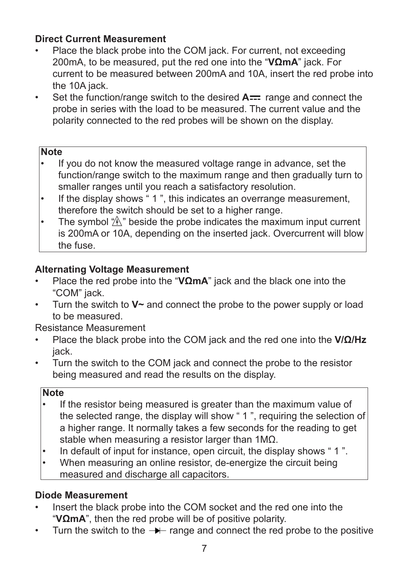## **Direct Current Measurement**

- Place the black probe into the COM jack. For current, not exceeding 200mA, to be measured, put the red one into the "**VΩmA**" jack. For current to be measured between 200mA and 10A, insert the red probe into the 10A jack.
- Set the function/range switch to the desired **A** Figure and connect the probe in series with the load to be measured. The current value and the polarity connected to the red probes will be shown on the display.

#### **Note**

- If you do not know the measured voltage range in advance, set the function/range switch to the maximum range and then gradually turn to smaller ranges until you reach a satisfactory resolution.
- If the display shows "1", this indicates an overrange measurement, therefore the switch should be set to a higher range.
- The symbol  $\hat{\mathcal{P}}$  beside the probe indicates the maximum input current is 200mA or 10A, depending on the inserted jack. Overcurrent will blow the fuse.

#### **Alternating Voltage Measurement**

- Place the red probe into the "**VΩmA**" jack and the black one into the "COM" jack.
- Turn the switch to **V~** and connect the probe to the power supply or load to be measured.

Resistance Measurement

- Place the black probe into the COM jack and the red one into the **V/Ω/Hz** jack.
- Turn the switch to the COM jack and connect the probe to the resistor being measured and read the results on the display.

#### **Note**

- If the resistor being measured is greater than the maximum value of the selected range, the display will show " 1 ", requiring the selection of a higher range. It normally takes a few seconds for the reading to get stable when measuring a resistor larger than 1MΩ.
- In default of input for instance, open circuit, the display shows " 1 ".
- When measuring an online resistor, de-energize the circuit being measured and discharge all capacitors.

## **Diode Measurement**

- Insert the black probe into the COM socket and the red one into the "**VΩmA**", then the red probe will be of positive polarity.
- Turn the switch to the range and connect the red probe to the positive